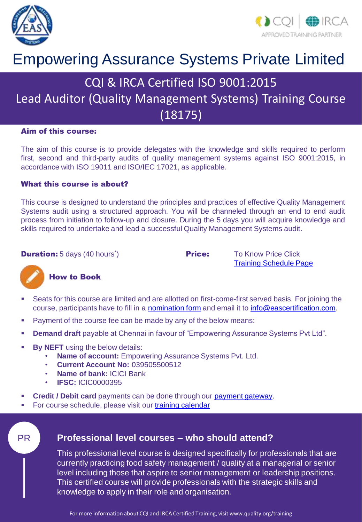



## Empowering Assurance Systems Private Limited

## CQI & IRCA Certified ISO 9001:2015

## Lead Auditor (Quality Management Systems) Training Course  $(18175)$

#### Aim of this course:

The aim of this course is to provide delegates with the knowledge and skills required to perform first, second and third-party audits of quality management systems against ISO 9001:2015, in accordance with ISO 19011 and ISO/IEC 17021, as applicable.

#### What this course is about?

This course is designed to understand the principles and practices of effective Quality Management Systems audit using a structured approach. You will be channeled through an end to end audit process from initiation to follow-up and closure. During the 5 days you will acquire knowledge and skills required to undertake and lead a successful Quality Management Systems audit.

**Duration:** 5 days (40 hours<sup>\*</sup>)

**Price:** To Know Price Click [Training Schedule Page](https://www.eascertification.com/training-schedule/)



#### How to Book

- Seats for this course are limited and are allotted on first-come-first served basis. For joining the course, participants have to fill in a [nomination form](http://www.eascertification.com/wp-content/uploads/2017/10/F-01-Student-Nomination-Form-V1.3-1.docx) and email it to [info@eascertification.com.](mailto:info@eascertification.com)
- Payment of the course fee can be made by any of the below means:
- **Demand draft** payable at Chennai in favour of "Empowering Assurance Systems Pvt Ltd".
- **By NEFT** using the below details:
	- **Name of account:** Empowering Assurance Systems Pvt. Ltd.
	- **Current Account No:** 039505500512
	- **Name of bank:** ICICI Bank
	- **IFSC:** ICIC0000395
- **Credit / Debit card** payments can be done through our [payment gateway.](http://www.eascertification.com/online-payment/)
- For course schedule, please visit our [training calendar](http://www.eascertification.com/iso-22000-lead-auditor-training/)

#### PR **Professional level courses – who should attend?**

This professional level course is designed specifically for professionals that are currently practicing food safety management / quality at a managerial or senior level including those that aspire to senior management or leadership positions. This certified course will provide professionals with the strategic skills and knowledge to apply in their role and organisation.